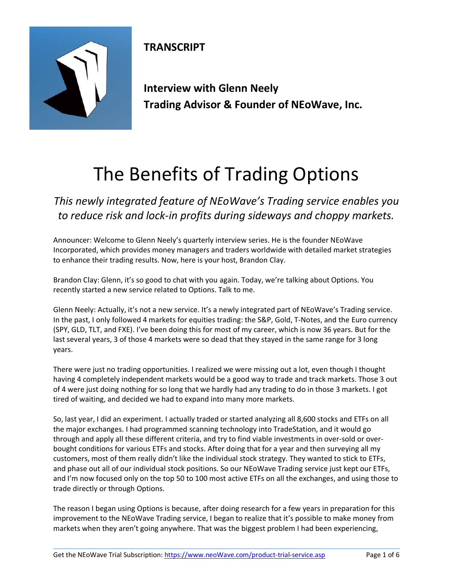

**TRANSCRIPT**

**Interview with Glenn Neely Trading Advisor & Founder of NEoWave, Inc.**

## The Benefits of Trading Options

*This newly integrated feature of NEoWave's Trading service enables you to reduce risk and lock-in profits during sideways and choppy markets.*

Announcer: Welcome to Glenn Neely's quarterly interview series. He is the founder NEoWave Incorporated, which provides money managers and traders worldwide with detailed market strategies to enhance their trading results. Now, here is your host, Brandon Clay.

Brandon Clay: Glenn, it's so good to chat with you again. Today, we're talking about Options. You recently started a new service related to Options. Talk to me.

Glenn Neely: Actually, it's not a new service. It's a newly integrated part of NEoWave's Trading service. In the past, I only followed 4 markets for equities trading: the S&P, Gold, T-Notes, and the Euro currency (SPY, GLD, TLT, and FXE). I've been doing this for most of my career, which is now 36 years. But for the last several years, 3 of those 4 markets were so dead that they stayed in the same range for 3 long years.

There were just no trading opportunities. I realized we were missing out a lot, even though I thought having 4 completely independent markets would be a good way to trade and track markets. Those 3 out of 4 were just doing nothing for so long that we hardly had any trading to do in those 3 markets. I got tired of waiting, and decided we had to expand into many more markets.

So, last year, I did an experiment. I actually traded or started analyzing all 8,600 stocks and ETFs on all the major exchanges. I had programmed scanning technology into TradeStation, and it would go through and apply all these different criteria, and try to find viable investments in over-sold or overbought conditions for various ETFs and stocks. After doing that for a year and then surveying all my customers, most of them really didn't like the individual stock strategy. They wanted to stick to ETFs, and phase out all of our individual stock positions. So our NEoWave Trading service just kept our ETFs, and I'm now focused only on the top 50 to 100 most active ETFs on all the exchanges, and using those to trade directly or through Options.

The reason I began using Options is because, after doing research for a few years in preparation for this improvement to the NEoWave Trading service, I began to realize that it's possible to make money from markets when they aren't going anywhere. That was the biggest problem I had been experiencing,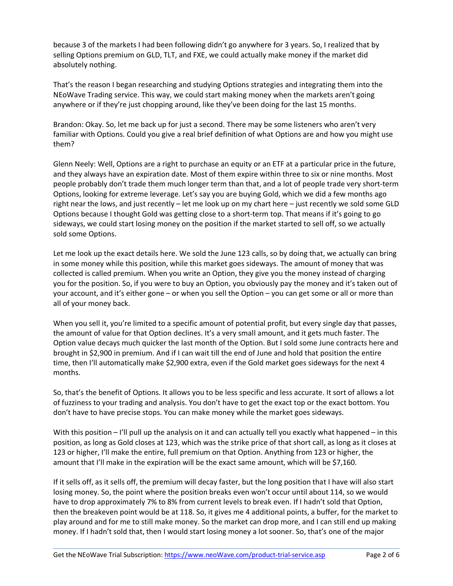because 3 of the markets I had been following didn't go anywhere for 3 years. So, I realized that by selling Options premium on GLD, TLT, and FXE, we could actually make money if the market did absolutely nothing.

That's the reason I began researching and studying Options strategies and integrating them into the NEoWave Trading service. This way, we could start making money when the markets aren't going anywhere or if they're just chopping around, like they've been doing for the last 15 months.

Brandon: Okay. So, let me back up for just a second. There may be some listeners who aren't very familiar with Options. Could you give a real brief definition of what Options are and how you might use them?

Glenn Neely: Well, Options are a right to purchase an equity or an ETF at a particular price in the future, and they always have an expiration date. Most of them expire within three to six or nine months. Most people probably don't trade them much longer term than that, and a lot of people trade very short-term Options, looking for extreme leverage. Let's say you are buying Gold, which we did a few months ago right near the lows, and just recently – let me look up on my chart here – just recently we sold some GLD Options because I thought Gold was getting close to a short-term top. That means if it's going to go sideways, we could start losing money on the position if the market started to sell off, so we actually sold some Options.

Let me look up the exact details here. We sold the June 123 calls, so by doing that, we actually can bring in some money while this position, while this market goes sideways. The amount of money that was collected is called premium. When you write an Option, they give you the money instead of charging you for the position. So, if you were to buy an Option, you obviously pay the money and it's taken out of your account, and it's either gone – or when you sell the Option – you can get some or all or more than all of your money back.

When you sell it, you're limited to a specific amount of potential profit, but every single day that passes, the amount of value for that Option declines. It's a very small amount, and it gets much faster. The Option value decays much quicker the last month of the Option. But I sold some June contracts here and brought in \$2,900 in premium. And if I can wait till the end of June and hold that position the entire time, then I'll automatically make \$2,900 extra, even if the Gold market goes sideways for the next 4 months.

So, that's the benefit of Options. It allows you to be less specific and less accurate. It sort of allows a lot of fuzziness to your trading and analysis. You don't have to get the exact top or the exact bottom. You don't have to have precise stops. You can make money while the market goes sideways.

With this position – I'll pull up the analysis on it and can actually tell you exactly what happened – in this position, as long as Gold closes at 123, which was the strike price of that short call, as long as it closes at 123 or higher, I'll make the entire, full premium on that Option. Anything from 123 or higher, the amount that I'll make in the expiration will be the exact same amount, which will be \$7,160.

If it sells off, as it sells off, the premium will decay faster, but the long position that I have will also start losing money. So, the point where the position breaks even won't occur until about 114, so we would have to drop approximately 7% to 8% from current levels to break even. If I hadn't sold that Option, then the breakeven point would be at 118. So, it gives me 4 additional points, a buffer, for the market to play around and for me to still make money. So the market can drop more, and I can still end up making money. If I hadn't sold that, then I would start losing money a lot sooner. So, that's one of the major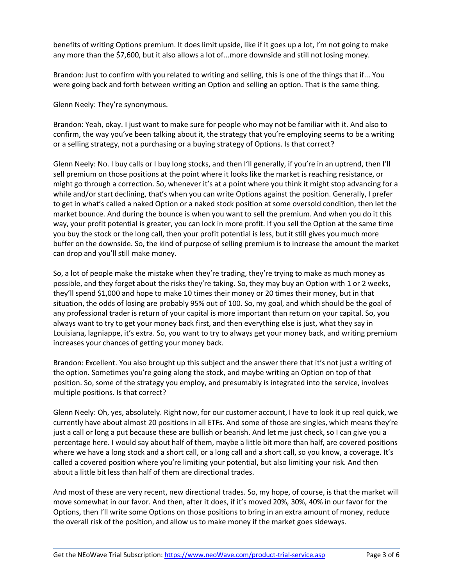benefits of writing Options premium. It does limit upside, like if it goes up a lot, I'm not going to make any more than the \$7,600, but it also allows a lot of...more downside and still not losing money.

Brandon: Just to confirm with you related to writing and selling, this is one of the things that if... You were going back and forth between writing an Option and selling an option. That is the same thing.

Glenn Neely: They're synonymous.

Brandon: Yeah, okay. I just want to make sure for people who may not be familiar with it. And also to confirm, the way you've been talking about it, the strategy that you're employing seems to be a writing or a selling strategy, not a purchasing or a buying strategy of Options. Is that correct?

Glenn Neely: No. I buy calls or I buy long stocks, and then I'll generally, if you're in an uptrend, then I'll sell premium on those positions at the point where it looks like the market is reaching resistance, or might go through a correction. So, whenever it's at a point where you think it might stop advancing for a while and/or start declining, that's when you can write Options against the position. Generally, I prefer to get in what's called a naked Option or a naked stock position at some oversold condition, then let the market bounce. And during the bounce is when you want to sell the premium. And when you do it this way, your profit potential is greater, you can lock in more profit. If you sell the Option at the same time you buy the stock or the long call, then your profit potential is less, but it still gives you much more buffer on the downside. So, the kind of purpose of selling premium is to increase the amount the market can drop and you'll still make money.

So, a lot of people make the mistake when they're trading, they're trying to make as much money as possible, and they forget about the risks they're taking. So, they may buy an Option with 1 or 2 weeks, they'll spend \$1,000 and hope to make 10 times their money or 20 times their money, but in that situation, the odds of losing are probably 95% out of 100. So, my goal, and which should be the goal of any professional trader is return of your capital is more important than return on your capital. So, you always want to try to get your money back first, and then everything else is just, what they say in Louisiana, lagniappe, it's extra. So, you want to try to always get your money back, and writing premium increases your chances of getting your money back.

Brandon: Excellent. You also brought up this subject and the answer there that it's not just a writing of the option. Sometimes you're going along the stock, and maybe writing an Option on top of that position. So, some of the strategy you employ, and presumably is integrated into the service, involves multiple positions. Is that correct?

Glenn Neely: Oh, yes, absolutely. Right now, for our customer account, I have to look it up real quick, we currently have about almost 20 positions in all ETFs. And some of those are singles, which means they're just a call or long a put because these are bullish or bearish. And let me just check, so I can give you a percentage here. I would say about half of them, maybe a little bit more than half, are covered positions where we have a long stock and a short call, or a long call and a short call, so you know, a coverage. It's called a covered position where you're limiting your potential, but also limiting your risk. And then about a little bit less than half of them are directional trades.

And most of these are very recent, new directional trades. So, my hope, of course, is that the market will move somewhat in our favor. And then, after it does, if it's moved 20%, 30%, 40% in our favor for the Options, then I'll write some Options on those positions to bring in an extra amount of money, reduce the overall risk of the position, and allow us to make money if the market goes sideways.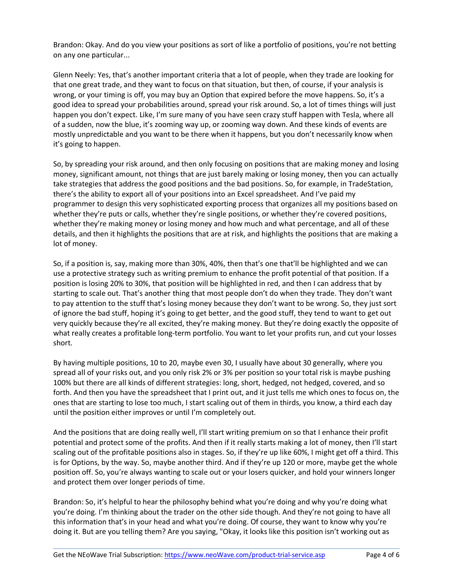Brandon: Okay. And do you view your positions as sort of like a portfolio of positions, you're not betting on any one particular...

Glenn Neely: Yes, that's another important criteria that a lot of people, when they trade are looking for that one great trade, and they want to focus on that situation, but then, of course, if your analysis is wrong, or your timing is off, you may buy an Option that expired before the move happens. So, it's a good idea to spread your probabilities around, spread your risk around. So, a lot of times things will just happen you don't expect. Like, I'm sure many of you have seen crazy stuff happen with Tesla, where all of a sudden, now the blue, it's zooming way up, or zooming way down. And these kinds of events are mostly unpredictable and you want to be there when it happens, but you don't necessarily know when it's going to happen.

So, by spreading your risk around, and then only focusing on positions that are making money and losing money, significant amount, not things that are just barely making or losing money, then you can actually take strategies that address the good positions and the bad positions. So, for example, in TradeStation, there's the ability to export all of your positions into an Excel spreadsheet. And I've paid my programmer to design this very sophisticated exporting process that organizes all my positions based on whether they're puts or calls, whether they're single positions, or whether they're covered positions, whether they're making money or losing money and how much and what percentage, and all of these details, and then it highlights the positions that are at risk, and highlights the positions that are making a lot of money.

So, if a position is, say, making more than 30%, 40%, then that's one that'll be highlighted and we can use a protective strategy such as writing premium to enhance the profit potential of that position. If a position is losing 20% to 30%, that position will be highlighted in red, and then I can address that by starting to scale out. That's another thing that most people don't do when they trade. They don't want to pay attention to the stuff that's losing money because they don't want to be wrong. So, they just sort of ignore the bad stuff, hoping it's going to get better, and the good stuff, they tend to want to get out very quickly because they're all excited, they're making money. But they're doing exactly the opposite of what really creates a profitable long-term portfolio. You want to let your profits run, and cut your losses short.

By having multiple positions, 10 to 20, maybe even 30, I usually have about 30 generally, where you spread all of your risks out, and you only risk 2% or 3% per position so your total risk is maybe pushing 100% but there are all kinds of different strategies: long, short, hedged, not hedged, covered, and so forth. And then you have the spreadsheet that I print out, and it just tells me which ones to focus on, the ones that are starting to lose too much, I start scaling out of them in thirds, you know, a third each day until the position either improves or until I'm completely out.

And the positions that are doing really well, I'll start writing premium on so that I enhance their profit potential and protect some of the profits. And then if it really starts making a lot of money, then I'll start scaling out of the profitable positions also in stages. So, if they're up like 60%, I might get off a third. This is for Options, by the way. So, maybe another third. And if they're up 120 or more, maybe get the whole position off. So, you're always wanting to scale out or your losers quicker, and hold your winners longer and protect them over longer periods of time.

Brandon: So, it's helpful to hear the philosophy behind what you're doing and why you're doing what you're doing. I'm thinking about the trader on the other side though. And they're not going to have all this information that's in your head and what you're doing. Of course, they want to know why you're doing it. But are you telling them? Are you saying, "Okay, it looks like this position isn't working out as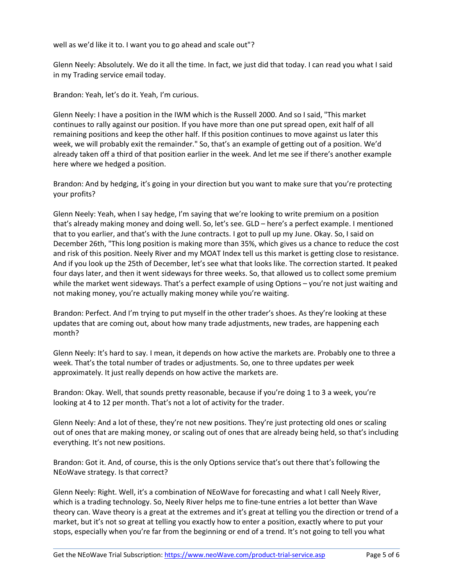well as we'd like it to. I want you to go ahead and scale out"?

Glenn Neely: Absolutely. We do it all the time. In fact, we just did that today. I can read you what I said in my Trading service email today.

Brandon: Yeah, let's do it. Yeah, I'm curious.

Glenn Neely: I have a position in the IWM which is the Russell 2000. And so I said, "This market continues to rally against our position. If you have more than one put spread open, exit half of all remaining positions and keep the other half. If this position continues to move against us later this week, we will probably exit the remainder." So, that's an example of getting out of a position. We'd already taken off a third of that position earlier in the week. And let me see if there's another example here where we hedged a position.

Brandon: And by hedging, it's going in your direction but you want to make sure that you're protecting your profits?

Glenn Neely: Yeah, when I say hedge, I'm saying that we're looking to write premium on a position that's already making money and doing well. So, let's see. GLD – here's a perfect example. I mentioned that to you earlier, and that's with the June contracts. I got to pull up my June. Okay. So, I said on December 26th, "This long position is making more than 35%, which gives us a chance to reduce the cost and risk of this position. Neely River and my MOAT Index tell us this market is getting close to resistance. And if you look up the 25th of December, let's see what that looks like. The correction started. It peaked four days later, and then it went sideways for three weeks. So, that allowed us to collect some premium while the market went sideways. That's a perfect example of using Options – you're not just waiting and not making money, you're actually making money while you're waiting.

Brandon: Perfect. And I'm trying to put myself in the other trader's shoes. As they're looking at these updates that are coming out, about how many trade adjustments, new trades, are happening each month?

Glenn Neely: It's hard to say. I mean, it depends on how active the markets are. Probably one to three a week. That's the total number of trades or adjustments. So, one to three updates per week approximately. It just really depends on how active the markets are.

Brandon: Okay. Well, that sounds pretty reasonable, because if you're doing 1 to 3 a week, you're looking at 4 to 12 per month. That's not a lot of activity for the trader.

Glenn Neely: And a lot of these, they're not new positions. They're just protecting old ones or scaling out of ones that are making money, or scaling out of ones that are already being held, so that's including everything. It's not new positions.

Brandon: Got it. And, of course, this is the only Options service that's out there that's following the NEoWave strategy. Is that correct?

Glenn Neely: Right. Well, it's a combination of NEoWave for forecasting and what I call Neely River, which is a trading technology. So, Neely River helps me to fine-tune entries a lot better than Wave theory can. Wave theory is a great at the extremes and it's great at telling you the direction or trend of a market, but it's not so great at telling you exactly how to enter a position, exactly where to put your stops, especially when you're far from the beginning or end of a trend. It's not going to tell you what